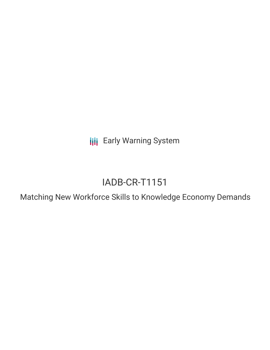**III** Early Warning System

# IADB-CR-T1151

Matching New Workforce Skills to Knowledge Economy Demands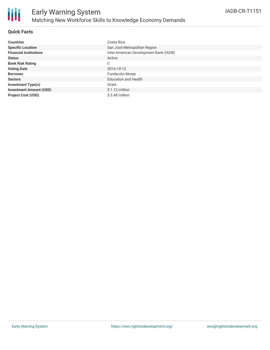

# **Quick Facts**

| <b>Countries</b>               | Costa Rica                             |
|--------------------------------|----------------------------------------|
| <b>Specific Location</b>       | San José Metropolitan Region           |
| <b>Financial Institutions</b>  | Inter-American Development Bank (IADB) |
| <b>Status</b>                  | Active                                 |
| <b>Bank Risk Rating</b>        | C                                      |
| <b>Voting Date</b>             | 2016-10-12                             |
| <b>Borrower</b>                | Fundación Monje                        |
| <b>Sectors</b>                 | <b>Education and Health</b>            |
| <b>Investment Type(s)</b>      | Grant                                  |
| <b>Investment Amount (USD)</b> | $$1.12$ million                        |
| <b>Project Cost (USD)</b>      | $$3.48$ million                        |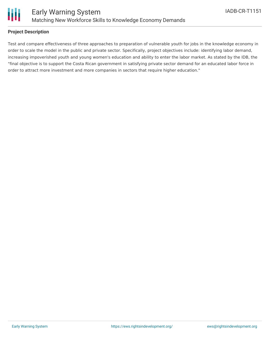

## **Project Description**

Test and compare effectiveness of three approaches to preparation of vulnerable youth for jobs in the knowledge economy in order to scale the model in the public and private sector. Specifically, project objectives include: identifying labor demand, increasing impoverished youth and young women's education and ability to enter the labor market. As stated by the IDB, the "final objective is to support the Costa Rican government in satisfying private sector demand for an educated labor force in order to attract more investment and more companies in sectors that require higher education."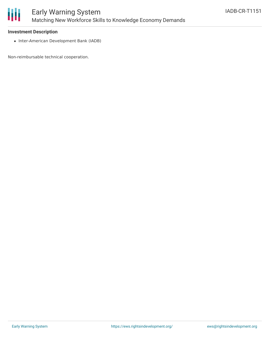

#### **Investment Description**

• Inter-American Development Bank (IADB)

Non-reimbursable technical cooperation.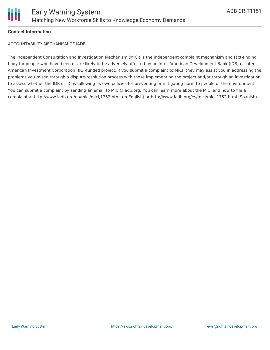

#### **Contact Information**

ACCOUNTABILITY MECHANISM OF IADB

The Independent Consultation and Investigation Mechanism (MICI) is the independent complaint mechanism and fact-finding body for people who have been or are likely to be adversely affected by an Inter-American Development Bank (IDB) or Inter-American Investment Corporation (IIC)-funded project. If you submit a complaint to MICI, they may assist you in addressing the problems you raised through a dispute-resolution process with those implementing the project and/or through an investigation to assess whether the IDB or IIC is following its own policies for preventing or mitigating harm to people or the environment. You can submit a complaint by sending an email to MICI@iadb.org. You can learn more about the MICI and how to file a complaint at http://www.iadb.org/en/mici/mici,1752.html (in English) or http://www.iadb.org/es/mici/mici,1752.html (Spanish).